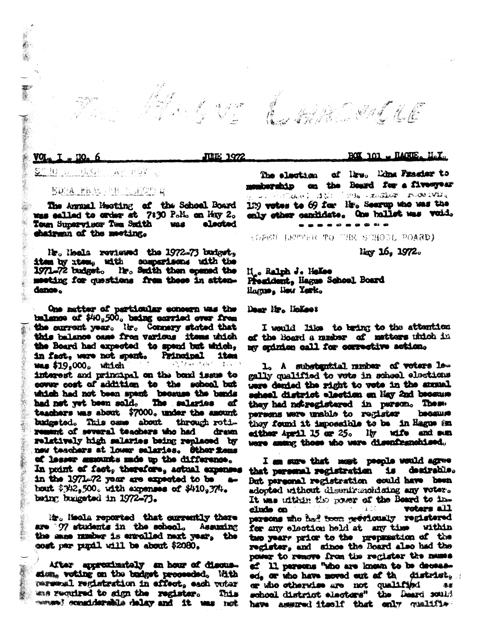**VOL.** 

## $S^{\cap}$  !0 ti, gi ing indir l

## EDNA FRANCISK PLINOTER

The Annual Meeting of the School Board mas ealled to order at 7:30 Polio on May 2. Town Supervisce Tem Suith WAS elected chairman of the meeting.

Mr. Meals reviewed the 1972-73 budget. item by item, with comparisons with the 1971-72 budget. He. Suith then opened the meeting for questions from these in attendance.

One matter of particular concern was the balance of \$40,500. being corried over from the current year. It. Connery stated that this balance case from various itsus which the Board had expected to spend but which, in fact, were not spent. Principal item **was \$19,000**. which  $\sim 7$  Figs.  $\frac{1}{2}$ ,  $\frac{1}{2}$ interest and principal on the bond issue to cover cost of addition to the school but which had not been spent because the bands<br>had net yet been sold. The salaries of teachers was about \$7000, under the amount budgeted. This case about through retiremark of several teachers who had drawn relatively high salaries being replaced by new teachers at lower salaries. Other foms of lesser amounts made up the difference. In print of fact, therefore, actual expenses in the 1971-72 year are expected to be **Sp** boart \$342,500. with expenses of \$410,374. baing budgeted in 1972-73.

it . Media reported that currently there are 97 students in the school. Assuming the same number is enrolled next year, the cost per punil will be about \$2080.

After anniverimately an hour of discussion, voting on the budget proceeded. With parsonal registration in effect, each votar was required to sign the register. This mones) considerable delay and it was not

AHAR ONNE ILE

 $\blacksquare$  HAGHE  $\blacksquare$  MaX $\blacksquare$ **ROT 101** 

The election of lire. Edna Frasier to on the Board for a five-syear monicorship we shill over 1 12: 1230 - xs3102 roce iving 129 votes to 69 for lip. Seerup who was the enly other candidate. One hallet was void.

---------

**(GREN LETTER TO THE SCHOOL POARD)** 

Hay 16, 1972.

M. Ralph J. Hokee President, liague School Board Hagus, New Yerk.

Dear Mr. McKees

修正安

**JULE 1972** 

I would like to bring to the attention of the Board a musher of matters which in my opinion call for corrective action.

1. A substantial number of voters legally qualified to vote in school elections were denied the right to vote in the annual scheel district election on May 2nd because they had notregistered in person. These persons were unable to register because they found it impossible to be in Hague an lly wife and sun either April 15 or 25. were among those who were disenfranchised.

I am sure that must people would agree that personal registration is desirable. But personal registration could have been adopted without disenfranchising any voter. It was utthin the power of the Board to invoters all clude on 主じた persons who had toon previously registered for any election held at any time within two years price to the preparation of the register, and since the Board also had the power to remove from the register the names ef 11 persons "who are known to be deceasdistrict, ed, or who have moved out of th or who otherwise are not qualified 患感 school district electors" the Deard sould have assured itself that only qualifis-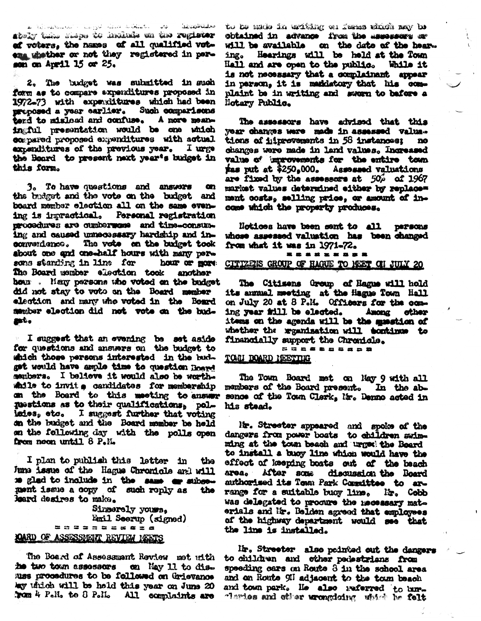ھە**لىكاڭكەنگە** - ئوقىي ساتىمىڭ بار قىدۇلىر ئىتى: سالىرى ساندىن ئالغان ئە stoly this steps to indicia on the register of voters, the names of all qualified votena whether or not they registered in person on April 15 or 25.

2. The budget was submitted in such form as to compare axpenditures proposed in 1972–73 with expenditures which had been proposed a year earlier. Such comparisons tend to misload and confuse. A more meaningful presentation would be one which compared proposed expenditures with actual expenditures of the previous year. I urge the Board to present next year's budget in this form.

3. To have questions and answers m the budget and the vote on the budget and board member election all on the same evening is impractical. Personal registration procedures are cumberwome and time-consuming and caused unnecessary hardship and inconvertence. The vote on the budget took shout one and one-half hours with many persons standing in line for hour or more The Board member election took another hour. Many persons who voted on the budget did not stay to vote on the Board member election and many who voted in the Board member election did not vote on the budgot,

I suggest that an evening be set aside<br>for questions and answers on the budget to which those persons interested in the budget would have ample time to question Hoard members. I believe it would also be worthwhile to invit a candidates for membership on the Board to this meeting to answer mestions as to their qualifications, polisies, etc. I suggest further that voting on the budget and the Board momber be held on the following day with the polls open from noon until 8 P.M.

I plan to publish this letter in the June issue of the Hague Chronicle and will me glad to include in the same or subsement issue a copy of such reply as the loard desires to make.

Simerely yours, Emil Seerup (signed) **. . . . . . . . . . . .** JOARD OF ASSESSMENT REVIEW MEETS

The Board of Assessment Review met with he two town assessors on May 11 to disuss procedures to be followed on Grievanos kay thich will be held this year on June 20 Trom 4 P.M. to 8 P.M. All complaints are to be made in arithmy on ferms which may be obtained in advance from the assessers or will be available on the date of the hear-Hearings will be held at the Town ing. Hall and are open to the public. While it is not necessary that a complainant appear in person, it is maddatory that his complaint be in writing and sworn to before a Notary Public.

The assessors have advised that this year changes were made in assessed valuations of hiprovements in 58 instances;  $\mathbf{p}$ changes were made in land values. Increased value of improvements for the entire town was put at \$250.000. Assessed valuations are fixed by the assessors at  $50\%$  of 1967 market values determined either by replace= ment costs, selling price, or amount of income which the property produces.

Notices have been sent to all **DOPSONS** whose assessed valuation has been changed from what it was in 1971-72. **\*\*\*\*\*\*\*\***\*

CITIZENS GROUP OF HAGUE TO MEET ON JULY 20

The Citizens Group of Hague will hold its annual meeting at the Hague Town Hall on July 20 at 8 P.M. Officers for the coming year fill be elected. Among other items on the agenda will be the musstion of whether the reganisation will tontinue to financially support the Chronicle.

= = = = = = = = = = TOWN BOARD NEETING

The Town Board met on Nay 9 with all members of the Board present. In the absence of the Town Clark, Mr. Denno acted in his stead.

Mr. Streeter appeared and spoke of the dangers from power boats to children swimming at the town beach and urged the Board to install a buoy line which would have the effect of keeping boats out of the beach area. After some discussion the Board authorised its Town Park Committee to arrange for a suitable buoy line. Mr. Cobb was delegated to procure the mecessary materials and Mr. Belden agreed that employees of the highway department would see that the line is installed.

Mr. Streeter also pointed out the dangers to children and other pedestrians from speeding cars on Route 3 in the school area and on Route 91 adjacent to the town beach and town park. He also referred to burclaries and other urongdodng which he felt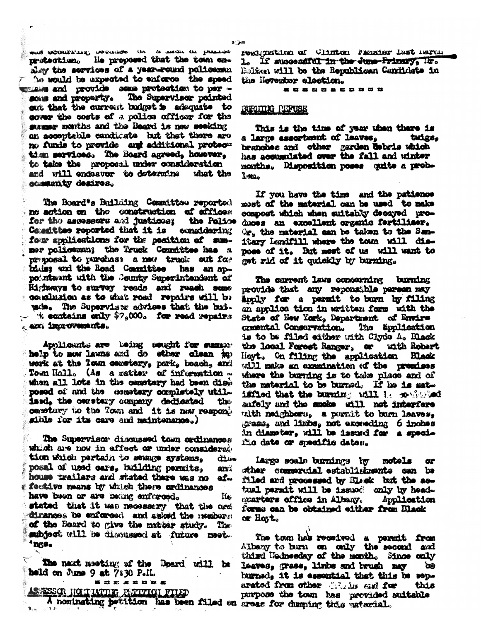WORD UNDORRELING UPPERMOW THE SURVEY ON PRESIDE He proposed that the town ennrutootiism alav the services of a year-round policemen he would be expected to enforce the speed when and provide some protection to per some and property. The Supervisor pointed out that the current budget is adaquate to cover the costs of a police officer for the mamer menths and the Board is now seeking an acceptable candidate but that there are no funds to previde and additional protectimm services. The Board agreed, however, to teke the proposal under consideration and will endeavor to determine what the community desires.

The Board's Building Committee reported no action on the construction of affices for the assessors and justices; the Police **consideri**ng Committee reported that it is four applications for the position of summer policeman; the Truck Committee has a proposal to purchase a new truck out for bids: and the Road Committee has an appoints and with the County Superintendent of Highways to survey reads and reach some conclusion as to what road repairs will be who. The Superviser advises that the bud- $\pm$  exitains enly  $\$?\,900$ . for read repairs m and improvements.

Applicants are toing sought for manser help to mow lawns and do other clean in work at the Town cemetery, park, beach, and Town Hall. (As a matter of information ... when all lots in the cametery had been disk posed of and the cemetery completely util. ised, the cerstary company dedicated the cemetary to the Town and it is now respongible for its care and maintenance.)

The Supervisor discussed tem ordinances which are now in effect or under considerable tion which pertain to sewage systems. حناثة posal of used cars, building permits. ani house trailers and stated there was no af. : feative means by which these ordinances have been or are being enforced. lie. stated that it was necessary that the ord dirances be enforced and asked the members: of the Board to give the matter study. The subject will be discussed at future meet. \*ngs.

The naxt meeting of the Board will be held on June 9 at 7:30 P.IL.

--------

ASSESSOR HOLLMAND PATTICI FILED

resignation of Clinton Prasier last morning 1. If successful in the June Primary, IF. Ealthen will be the Republican Candidate in the Neversber election.

-----------

## BURNING PERUSE

This is the time of year when there is a large assortment of leaves, tarigs. branches and other garden debris which has accumulated over the fall and winter months. Disposition poses quite a prob-1.324

If you have the time and the patience most of the material can be used to make compost which when suitably decayed produces an excellent organic fertiliser. Or, the material can be taken to the Sanitary Landfill where the town will dispose of it. But mest of us will want to get rid of it quickly by burning.

The current laws conserving burning provide that any reponsible person may Apply for a permit to burn by filing an applice tion in written form with the State of New York, Department of Envire crmental Conservation. The Spolication is to be filed either with Clyde A. Black the local Forest Ranger, or with Robert Hoyt. On filing the application Black will make an examination of the premises where the burning is to take place and of the material to be burned. If he is satiffied that the burning will be sendered aufely and the smoke will not interfere tath neighbors, a pormit to burn leaves. grass, and limbs, not exceeding 6 inches in diamoter, will be issued for a specifis date or specific dates.

Large scale burnings to motels œ sther commercial establishments can be filed and processed by Black but the actual permit will be issued only by headgoarters office in Albany. Application forms can be obtained either from Black or Hatt.

The town has received a permit from Albany to burn on only the second and third Nednesday of the month. Since caly **laaves, grass, limbs and brush may** ັດຄ hurned, it is essential that this be senarated from other thinks and for this purpose the town has provided suitable A nominating petition has been filed on areas for dumping this material.